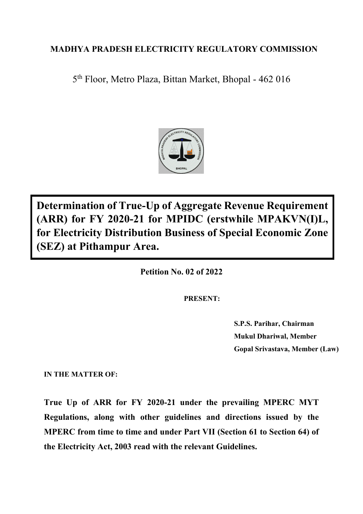# **MADHYA PRADESH ELECTRICITY REGULATORY COMMISSION**

5 th Floor, Metro Plaza, Bittan Market, Bhopal - 462 016



**Determination of True-Up of Aggregate Revenue Requirement (ARR) for FY 2020-21 for MPIDC (erstwhile MPAKVN(I)L, for Electricity Distribution Business of Special Economic Zone (SEZ) at Pithampur Area.**

**Petition No. 02 of 2022**

**PRESENT:**

**S.P.S. Parihar, Chairman Mukul Dhariwal, Member Gopal Srivastava, Member (Law)**

**IN THE MATTER OF:**

**True Up of ARR for FY 2020-21 under the prevailing MPERC MYT Regulations, along with other guidelines and directions issued by the MPERC from time to time and under Part VII (Section 61 to Section 64) of the Electricity Act, 2003 read with the relevant Guidelines.**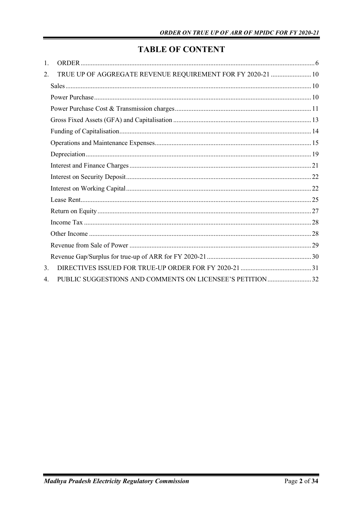# **TABLE OF CONTENT**

| 1. |                                                             |  |
|----|-------------------------------------------------------------|--|
| 2. | TRUE UP OF AGGREGATE REVENUE REQUIREMENT FOR FY 2020-21  10 |  |
|    |                                                             |  |
|    |                                                             |  |
|    |                                                             |  |
|    |                                                             |  |
|    |                                                             |  |
|    |                                                             |  |
|    |                                                             |  |
|    |                                                             |  |
|    |                                                             |  |
|    |                                                             |  |
|    |                                                             |  |
|    |                                                             |  |
|    |                                                             |  |
|    |                                                             |  |
|    |                                                             |  |
|    |                                                             |  |
| 3. |                                                             |  |
| 4. |                                                             |  |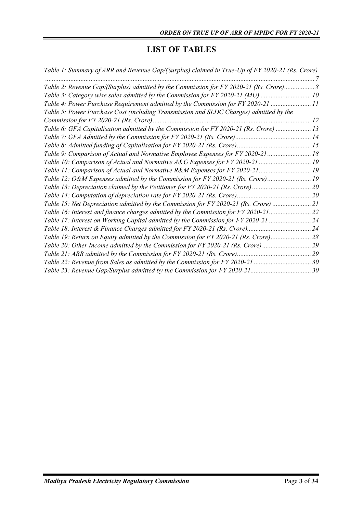## **LIST OF TABLES**

| Table 1: Summary of ARR and Revenue Gap/(Surplus) claimed in True-Up of FY 2020-21 (Rs. Crore) |  |
|------------------------------------------------------------------------------------------------|--|
|                                                                                                |  |
| Table 2: Revenue Gap/(Surplus) admitted by the Commission for FY 2020-21 (Rs. Crore) 8         |  |
| Table 3: Category wise sales admitted by the Commission for FY 2020-21 (MU) 10                 |  |
| Table 4: Power Purchase Requirement admitted by the Commission for FY 2020-21 11               |  |
| Table 5: Power Purchase Cost (including Transmission and SLDC Charges) admitted by the         |  |
|                                                                                                |  |
| Table 6: GFA Capitalisation admitted by the Commission for FY 2020-21 (Rs. Crore)  13          |  |
|                                                                                                |  |
|                                                                                                |  |
| Table 9: Comparison of Actual and Normative Employee Expenses for FY 2020-21  18               |  |
| Table 10: Comparison of Actual and Normative A&G Expenses for FY 2020-21  19                   |  |
|                                                                                                |  |
| Table 12: O&M Expenses admitted by the Commission for FY 2020-21 (Rs. Crore) 19                |  |
| Table 13: Depreciation claimed by the Petitioner for FY 2020-21 (Rs. Crore) 20                 |  |
|                                                                                                |  |
| Table 15: Net Depreciation admitted by the Commission for FY 2020-21 (Rs. Crore) 21            |  |
| Table 16: Interest and finance charges admitted by the Commission for FY 2020-21               |  |
| Table 17: Interest on Working Capital admitted by the Commission for FY 2020-21  24            |  |
|                                                                                                |  |
| Table 19: Return on Equity admitted by the Commission for FY 2020-21 (Rs. Crore)28             |  |
| Table 20: Other Income admitted by the Commission for FY 2020-21 (Rs. Crore)29                 |  |
|                                                                                                |  |
| Table 22: Revenue from Sales as admitted by the Commission for FY 2020-21 30                   |  |
|                                                                                                |  |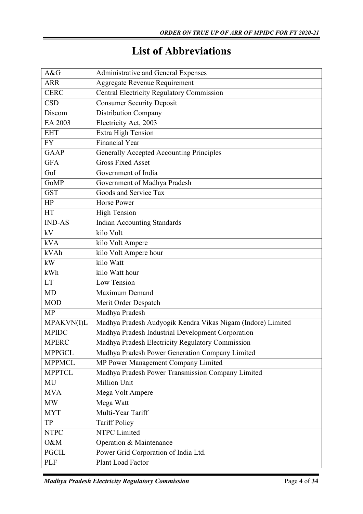# **List of Abbreviations**

| A&G           | Administrative and General Expenses                         |
|---------------|-------------------------------------------------------------|
| <b>ARR</b>    | Aggregate Revenue Requirement                               |
| <b>CERC</b>   | <b>Central Electricity Regulatory Commission</b>            |
| <b>CSD</b>    | <b>Consumer Security Deposit</b>                            |
| Discom        | <b>Distribution Company</b>                                 |
| EA 2003       | Electricity Act, 2003                                       |
| <b>EHT</b>    | Extra High Tension                                          |
| <b>FY</b>     | <b>Financial Year</b>                                       |
| <b>GAAP</b>   | <b>Generally Accepted Accounting Principles</b>             |
| <b>GFA</b>    | <b>Gross Fixed Asset</b>                                    |
| GoI           | Government of India                                         |
| GoMP          | Government of Madhya Pradesh                                |
| <b>GST</b>    | Goods and Service Tax                                       |
| HP            | <b>Horse Power</b>                                          |
| HT            | <b>High Tension</b>                                         |
| <b>IND-AS</b> | <b>Indian Accounting Standards</b>                          |
| kV            | kilo Volt                                                   |
| <b>kVA</b>    | kilo Volt Ampere                                            |
| kVAh          | kilo Volt Ampere hour                                       |
| kW            | kilo Watt                                                   |
| kWh           | kilo Watt hour                                              |
| <b>LT</b>     | Low Tension                                                 |
| <b>MD</b>     | Maximum Demand                                              |
| <b>MOD</b>    | Merit Order Despatch                                        |
| <b>MP</b>     | Madhya Pradesh                                              |
| MPAKVN(I)L    | Madhya Pradesh Audyogik Kendra Vikas Nigam (Indore) Limited |
| <b>MPIDC</b>  | Madhya Pradesh Industrial Development Corporation           |
| <b>MPERC</b>  | Madhya Pradesh Electricity Regulatory Commission            |
| <b>MPPGCL</b> | Madhya Pradesh Power Generation Company Limited             |
| <b>MPPMCL</b> | MP Power Management Company Limited                         |
| <b>MPPTCL</b> | Madhya Pradesh Power Transmission Company Limited           |
| MU            | Million Unit                                                |
| <b>MVA</b>    | Mega Volt Ampere                                            |
| <b>MW</b>     | Mega Watt                                                   |
| <b>MYT</b>    | Multi-Year Tariff                                           |
| TP            | <b>Tariff Policy</b>                                        |
| <b>NTPC</b>   | NTPC Limited                                                |
| O&M           | Operation & Maintenance                                     |
| <b>PGCIL</b>  | Power Grid Corporation of India Ltd.                        |
| <b>PLF</b>    | Plant Load Factor                                           |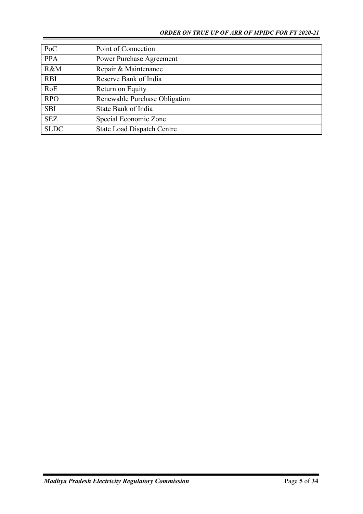| PoC         | Point of Connection               |
|-------------|-----------------------------------|
| <b>PPA</b>  | <b>Power Purchase Agreement</b>   |
| R&M         | Repair & Maintenance              |
| <b>RBI</b>  | Reserve Bank of India             |
| RoE         | Return on Equity                  |
| <b>RPO</b>  | Renewable Purchase Obligation     |
| <b>SBI</b>  | State Bank of India               |
| <b>SEZ</b>  | Special Economic Zone             |
| <b>SLDC</b> | <b>State Load Dispatch Centre</b> |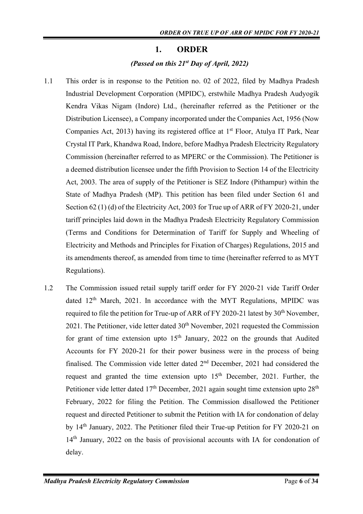### **1. ORDER**

## *(Passed on this 21 st Day of April, 2022)*

- <span id="page-5-0"></span>1.1 This order is in response to the Petition no. 02 of 2022, filed by Madhya Pradesh Industrial Development Corporation (MPIDC), erstwhile Madhya Pradesh Audyogik Kendra Vikas Nigam (Indore) Ltd., (hereinafter referred as the Petitioner or the Distribution Licensee), a Company incorporated under the Companies Act, 1956 (Now Companies Act, 2013) having its registered office at 1<sup>st</sup> Floor, Atulya IT Park, Near Crystal IT Park, Khandwa Road, Indore, before Madhya Pradesh Electricity Regulatory Commission (hereinafter referred to as MPERC or the Commission). The Petitioner is a deemed distribution licensee under the fifth Provision to Section 14 of the Electricity Act, 2003. The area of supply of the Petitioner is SEZ Indore (Pithampur) within the State of Madhya Pradesh (MP). This petition has been filed under Section 61 and Section 62 (1) (d) of the Electricity Act, 2003 for True up of ARR of FY 2020-21, under tariff principles laid down in the Madhya Pradesh Electricity Regulatory Commission (Terms and Conditions for Determination of Tariff for Supply and Wheeling of Electricity and Methods and Principles for Fixation of Charges) Regulations, 2015 and its amendments thereof, as amended from time to time (hereinafter referred to as MYT Regulations).
- 1.2 The Commission issued retail supply tariff order for FY 2020-21 vide Tariff Order dated 12<sup>th</sup> March, 2021. In accordance with the MYT Regulations, MPIDC was required to file the petition for True-up of ARR of FY 2020-21 latest by  $30<sup>th</sup>$  November,  $2021$ . The Petitioner, vide letter dated  $30<sup>th</sup>$  November, 2021 requested the Commission for grant of time extension upto  $15<sup>th</sup>$  January, 2022 on the grounds that Audited Accounts for FY 2020-21 for their power business were in the process of being finalised. The Commission vide letter dated  $2<sup>nd</sup>$  December, 2021 had considered the request and granted the time extension upto  $15<sup>th</sup>$  December, 2021. Further, the Petitioner vide letter dated  $17<sup>th</sup>$  December, 2021 again sought time extension upto  $28<sup>th</sup>$ February, 2022 for filing the Petition. The Commission disallowed the Petitioner request and directed Petitioner to submit the Petition with IA for condonation of delay by 14th January, 2022. The Petitioner filed their True-up Petition for FY 2020-21 on 14<sup>th</sup> January, 2022 on the basis of provisional accounts with IA for condonation of delay.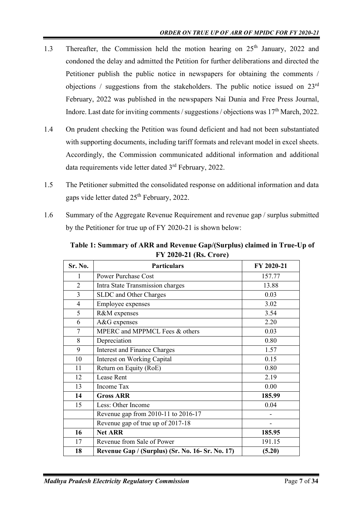- 1.3 Thereafter, the Commission held the motion hearing on 25<sup>th</sup> January, 2022 and condoned the delay and admitted the Petition for further deliberations and directed the Petitioner publish the public notice in newspapers for obtaining the comments / objections / suggestions from the stakeholders. The public notice issued on 23rd February, 2022 was published in the newspapers Nai Dunia and Free Press Journal, Indore. Last date for inviting comments / suggestions / objections was 17<sup>th</sup> March, 2022.
- 1.4 On prudent checking the Petition was found deficient and had not been substantiated with supporting documents, including tariff formats and relevant model in excel sheets. Accordingly, the Commission communicated additional information and additional data requirements vide letter dated 3rd February, 2022.
- 1.5 The Petitioner submitted the consolidated response on additional information and data gaps vide letter dated 25<sup>th</sup> February, 2022.
- 1.6 Summary of the Aggregate Revenue Requirement and revenue gap / surplus submitted by the Petitioner for true up of FY 2020-21 is shown below:

<span id="page-6-0"></span>

| FY 2020-21 (Rs. Crore) |                                                  |            |  |  |  |
|------------------------|--------------------------------------------------|------------|--|--|--|
| Sr. No.                | <b>Particulars</b>                               | FY 2020-21 |  |  |  |
| 1                      | <b>Power Purchase Cost</b>                       | 157.77     |  |  |  |
| $\overline{2}$         | Intra State Transmission charges                 | 13.88      |  |  |  |
| 3                      | SLDC and Other Charges                           | 0.03       |  |  |  |
| $\overline{4}$         | <b>Employee expenses</b>                         | 3.02       |  |  |  |
| 5                      | R&M expenses                                     | 3.54       |  |  |  |
| 6                      | A&G expenses                                     | 2.20       |  |  |  |
| 7                      | MPERC and MPPMCL Fees & others                   | 0.03       |  |  |  |
| 8                      | Depreciation                                     | 0.80       |  |  |  |
| 9                      | <b>Interest and Finance Charges</b>              | 1.57       |  |  |  |
| 10                     | <b>Interest on Working Capital</b>               | 0.15       |  |  |  |
| 11                     | Return on Equity (RoE)                           | 0.80       |  |  |  |
| 12                     | <b>Lease Rent</b>                                | 2.19       |  |  |  |
| 13                     | Income Tax                                       | 0.00       |  |  |  |
| 14                     | <b>Gross ARR</b>                                 | 185.99     |  |  |  |
| 15                     | Less: Other Income                               | 0.04       |  |  |  |
|                        | Revenue gap from 2010-11 to 2016-17              |            |  |  |  |
|                        | Revenue gap of true up of 2017-18                |            |  |  |  |
| 16                     | <b>Net ARR</b>                                   | 185.95     |  |  |  |
| 17                     | Revenue from Sale of Power                       | 191.15     |  |  |  |
| 18                     | Revenue Gap / (Surplus) (Sr. No. 16- Sr. No. 17) | (5.20)     |  |  |  |

**Table 1: Summary of ARR and Revenue Gap/(Surplus) claimed in True-Up of**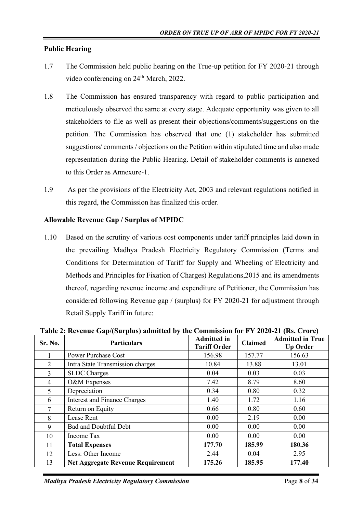## **Public Hearing**

- 1.7 The Commission held public hearing on the True-up petition for FY 2020-21 through video conferencing on 24<sup>th</sup> March, 2022.
- 1.8 The Commission has ensured transparency with regard to public participation and meticulously observed the same at every stage. Adequate opportunity was given to all stakeholders to file as well as present their objections/comments/suggestions on the petition. The Commission has observed that one (1) stakeholder has submitted suggestions/ comments / objections on the Petition within stipulated time and also made representation during the Public Hearing. Detail of stakeholder comments is annexed to this Order as Annexure-1.
- 1.9 As per the provisions of the Electricity Act, 2003 and relevant regulations notified in this regard, the Commission has finalized this order.

## **Allowable Revenue Gap / Surplus of MPIDC**

1.10 Based on the scrutiny of various cost components under tariff principles laid down in the prevailing Madhya Pradesh Electricity Regulatory Commission (Terms and Conditions for Determination of Tariff for Supply and Wheeling of Electricity and Methods and Principles for Fixation of Charges) Regulations,2015 and its amendments thereof, regarding revenue income and expenditure of Petitioner, the Commission has considered following Revenue gap / (surplus) for FY 2020-21 for adjustment through Retail Supply Tariff in future:

| Sr. No.        | <b>Particulars</b>                       | <b>Admitted in</b><br><b>Tariff Order</b> | <b>Claimed</b> | <b>Admitted in True</b><br><b>Up Order</b> |
|----------------|------------------------------------------|-------------------------------------------|----------------|--------------------------------------------|
|                | <b>Power Purchase Cost</b>               | 156.98                                    | 157.77         | 156.63                                     |
| $\overline{2}$ | Intra State Transmission charges         | 10.84                                     | 13.88          | 13.01                                      |
| 3              | <b>SLDC</b> Charges                      | 0.04                                      | 0.03           | 0.03                                       |
| 4              | O&M Expenses                             | 7.42                                      | 8.79           | 8.60                                       |
| 5              | Depreciation                             | 0.34                                      | 0.80           | 0.32                                       |
| 6              | <b>Interest and Finance Charges</b>      | 1.40                                      | 1.72           | 1.16                                       |
| 7              | Return on Equity                         | 0.66                                      | 0.80           | 0.60                                       |
| 8              | Lease Rent                               | 0.00                                      | 2.19           | 0.00                                       |
| 9              | Bad and Doubtful Debt                    | 0.00                                      | 0.00           | 0.00                                       |
| 10             | Income Tax                               | 0.00                                      | 0.00           | 0.00                                       |
| 11             | <b>Total Expenses</b>                    | 177.70                                    | 185.99         | 180.36                                     |
| 12             | Less: Other Income                       | 2.44                                      | 0.04           | 2.95                                       |
| 13             | <b>Net Aggregate Revenue Requirement</b> | 175.26                                    | 185.95         | 177.40                                     |

<span id="page-7-0"></span>**Table 2: Revenue Gap/(Surplus) admitted by the Commission for FY 2020-21 (Rs. Crore)**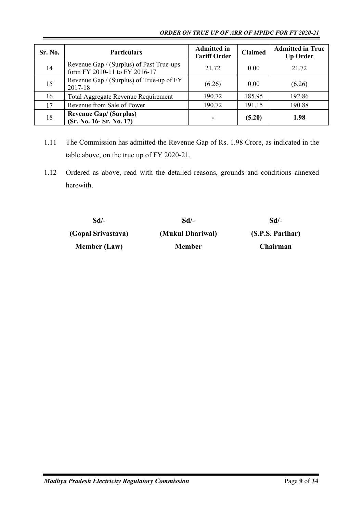### *ORDER ON TRUE UP OF ARR OF MPIDC FOR FY 2020-21*

| Sr. No. | <b>Particulars</b>                                                        | <b>Admitted in</b><br><b>Tariff Order</b> | <b>Claimed</b> | <b>Admitted in True</b><br><b>Up Order</b> |
|---------|---------------------------------------------------------------------------|-------------------------------------------|----------------|--------------------------------------------|
| 14      | Revenue Gap / (Surplus) of Past True-ups<br>form FY 2010-11 to FY 2016-17 | 21.72                                     | 0.00           | 21.72                                      |
| 15      | Revenue Gap / (Surplus) of True-up of FY<br>2017-18                       | (6.26)                                    | 0.00           | (6.26)                                     |
| 16      | Total Aggregate Revenue Requirement                                       | 190.72                                    | 185.95         | 192.86                                     |
| 17      | Revenue from Sale of Power                                                | 190.72                                    | 191.15         | 190.88                                     |
| 18      | <b>Revenue Gap/ (Surplus)</b><br>(Sr. No. 16- Sr. No. 17)                 |                                           | (5.20)         | 1.98                                       |

- 1.11 The Commission has admitted the Revenue Gap of Rs. 1.98 Crore, as indicated in the table above, on the true up of FY 2020-21.
- 1.12 Ordered as above, read with the detailed reasons, grounds and conditions annexed herewith.

| Sd/-                | Sd/-             | Sd/-             |
|---------------------|------------------|------------------|
| (Gopal Srivastava)  | (Mukul Dhariwal) | (S.P.S. Parihar) |
| <b>Member (Law)</b> | <b>Member</b>    | Chairman         |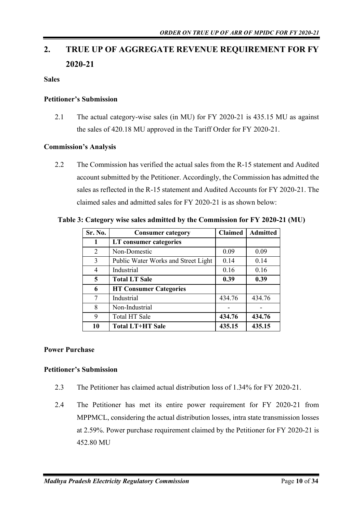# <span id="page-9-0"></span>**2. TRUE UP OF AGGREGATE REVENUE REQUIREMENT FOR FY 2020-21**

## <span id="page-9-1"></span>**Sales**

## **Petitioner's Submission**

2.1 The actual category-wise sales (in MU) for FY 2020-21 is 435.15 MU as against the sales of 420.18 MU approved in the Tariff Order for FY 2020-21.

### **Commission's Analysis**

2.2 The Commission has verified the actual sales from the R-15 statement and Audited account submitted by the Petitioner. Accordingly, the Commission has admitted the sales as reflected in the R-15 statement and Audited Accounts for FY 2020-21. The claimed sales and admitted sales for FY 2020-21 is as shown below:

<span id="page-9-3"></span>**Table 3: Category wise sales admitted by the Commission for FY 2020-21 (MU)**

| Sr. No.        | <b>Consumer category</b>            | <b>Claimed</b> | <b>Admitted</b> |
|----------------|-------------------------------------|----------------|-----------------|
| 1              | LT consumer categories              |                |                 |
| 2              | Non-Domestic                        | 0.09           | 0.09            |
| 3              | Public Water Works and Street Light | 0.14           | 0.14            |
| $\overline{4}$ | Industrial                          | 0.16           | 0.16            |
| 5              | <b>Total LT Sale</b>                | 0.39           | 0.39            |
| 6              | <b>HT Consumer Categories</b>       |                |                 |
| 7              | Industrial                          | 434.76         | 434.76          |
| 8              | Non-Industrial                      |                |                 |
| 9              | Total HT Sale                       | 434.76         | 434.76          |
| 10             | <b>Total LT+HT Sale</b>             | 435.15         | 435.15          |

## <span id="page-9-2"></span>**Power Purchase**

#### **Petitioner's Submission**

- 2.3 The Petitioner has claimed actual distribution loss of 1.34% for FY 2020-21.
- 2.4 The Petitioner has met its entire power requirement for FY 2020-21 from MPPMCL, considering the actual distribution losses, intra state transmission losses at 2.59%. Power purchase requirement claimed by the Petitioner for FY 2020-21 is 452.80 MU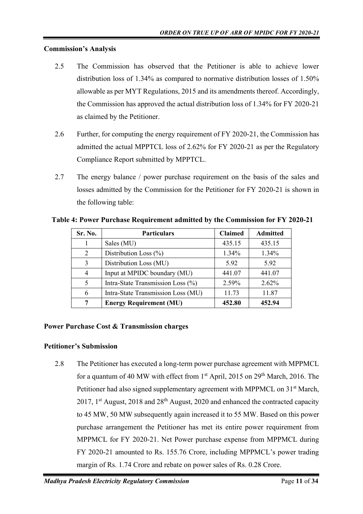## **Commission's Analysis**

- 2.5 The Commission has observed that the Petitioner is able to achieve lower distribution loss of 1.34% as compared to normative distribution losses of 1.50% allowable as per MYT Regulations, 2015 and its amendments thereof. Accordingly, the Commission has approved the actual distribution loss of 1.34% for FY 2020-21 as claimed by the Petitioner.
- 2.6 Further, for computing the energy requirement of FY 2020-21, the Commission has admitted the actual MPPTCL loss of 2.62% for FY 2020-21 as per the Regulatory Compliance Report submitted by MPPTCL.
- 2.7 The energy balance / power purchase requirement on the basis of the sales and losses admitted by the Commission for the Petitioner for FY 2020-21 is shown in the following table:

<span id="page-10-1"></span>

| Table 4: Power Purchase Requirement admitted by the Commission for FY 2020-21 |  |  |  |  |  |  |  |
|-------------------------------------------------------------------------------|--|--|--|--|--|--|--|
|-------------------------------------------------------------------------------|--|--|--|--|--|--|--|

| Sr. No. | <b>Particulars</b>                 | <b>Claimed</b> | <b>Admitted</b> |
|---------|------------------------------------|----------------|-----------------|
|         | Sales (MU)                         | 435.15         | 435.15          |
| 2       | Distribution Loss (%)              | $1.34\%$       | $1.34\%$        |
| 3       | Distribution Loss (MU)             |                | 5.92            |
|         | Input at MPIDC boundary (MU)       | 441.07         | 441.07          |
| 5       | Intra-State Transmission Loss (%)  | 2.59%          | $2.62\%$        |
| 6       | Intra-State Transmission Loss (MU) | 11.73          | 11.87           |
|         | <b>Energy Requirement (MU)</b>     | 452.80         | 452.94          |

## <span id="page-10-0"></span>**Power Purchase Cost & Transmission charges**

#### **Petitioner's Submission**

2.8 The Petitioner has executed a long-term power purchase agreement with MPPMCL for a quantum of 40 MW with effect from 1<sup>st</sup> April, 2015 on 29<sup>th</sup> March, 2016. The Petitioner had also signed supplementary agreement with MPPMCL on 31<sup>st</sup> March, 2017, 1<sup>st</sup> August, 2018 and  $28<sup>th</sup>$  August, 2020 and enhanced the contracted capacity to 45 MW, 50 MW subsequently again increased it to 55 MW. Based on this power purchase arrangement the Petitioner has met its entire power requirement from MPPMCL for FY 2020-21. Net Power purchase expense from MPPMCL during FY 2020-21 amounted to Rs. 155.76 Crore, including MPPMCL's power trading margin of Rs. 1.74 Crore and rebate on power sales of Rs. 0.28 Crore.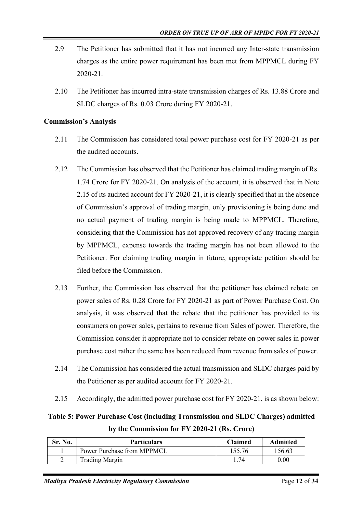- 2.9 The Petitioner has submitted that it has not incurred any Inter-state transmission charges as the entire power requirement has been met from MPPMCL during FY 2020-21.
- 2.10 The Petitioner has incurred intra-state transmission charges of Rs. 13.88 Crore and SLDC charges of Rs. 0.03 Crore during FY 2020-21.

## **Commission's Analysis**

- 2.11 The Commission has considered total power purchase cost for FY 2020-21 as per the audited accounts.
- 2.12 The Commission has observed that the Petitioner has claimed trading margin of Rs. 1.74 Crore for FY 2020-21. On analysis of the account, it is observed that in Note 2.15 of its audited account for FY 2020-21, it is clearly specified that in the absence of Commission's approval of trading margin, only provisioning is being done and no actual payment of trading margin is being made to MPPMCL. Therefore, considering that the Commission has not approved recovery of any trading margin by MPPMCL, expense towards the trading margin has not been allowed to the Petitioner. For claiming trading margin in future, appropriate petition should be filed before the Commission.
- 2.13 Further, the Commission has observed that the petitioner has claimed rebate on power sales of Rs. 0.28 Crore for FY 2020-21 as part of Power Purchase Cost. On analysis, it was observed that the rebate that the petitioner has provided to its consumers on power sales, pertains to revenue from Sales of power. Therefore, the Commission consider it appropriate not to consider rebate on power sales in power purchase cost rather the same has been reduced from revenue from sales of power.
- 2.14 The Commission has considered the actual transmission and SLDC charges paid by the Petitioner as per audited account for FY 2020-21.
- 2.15 Accordingly, the admitted power purchase cost for FY 2020-21, is as shown below:

<span id="page-11-0"></span>**Table 5: Power Purchase Cost (including Transmission and SLDC Charges) admitted by the Commission for FY 2020-21 (Rs. Crore)**

| Sr. No. | <b>Particulars</b>         | <b>Claimed</b> | Admitted |
|---------|----------------------------|----------------|----------|
|         | Power Purchase from MPPMCL | 155.76         | 156.63   |
| ∠       | <b>Trading Margin</b>      | 74             | $0.00\,$ |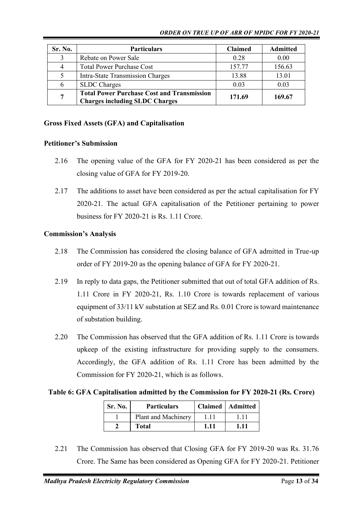| Sr. No. | <b>Particulars</b>                                                                         | <b>Claimed</b> | <b>Admitted</b> |
|---------|--------------------------------------------------------------------------------------------|----------------|-----------------|
| 3       | Rebate on Power Sale                                                                       | 0.28           | 0.00            |
|         | <b>Total Power Purchase Cost</b>                                                           | 157.77         | 156.63          |
|         | <b>Intra-State Transmission Charges</b>                                                    | 13.88          | 13.01           |
| 6       | <b>SLDC</b> Charges                                                                        | 0.03           | 0.03            |
| 7       | <b>Total Power Purchase Cost and Transmission</b><br><b>Charges including SLDC Charges</b> | 171.69         | 169.67          |

### <span id="page-12-0"></span>**Gross Fixed Assets (GFA) and Capitalisation**

#### **Petitioner's Submission**

- 2.16 The opening value of the GFA for FY 2020-21 has been considered as per the closing value of GFA for FY 2019-20.
- 2.17 The additions to asset have been considered as per the actual capitalisation for FY 2020-21. The actual GFA capitalisation of the Petitioner pertaining to power business for FY 2020-21 is Rs. 1.11 Crore.

#### **Commission's Analysis**

- 2.18 The Commission has considered the closing balance of GFA admitted in True-up order of FY 2019-20 as the opening balance of GFA for FY 2020-21.
- 2.19 In reply to data gaps, the Petitioner submitted that out of total GFA addition of Rs. 1.11 Crore in FY 2020-21, Rs. 1.10 Crore is towards replacement of various equipment of 33/11 kV substation at SEZ and Rs. 0.01 Crore is toward maintenance of substation building.
- 2.20 The Commission has observed that the GFA addition of Rs. 1.11 Crore is towards upkeep of the existing infrastructure for providing supply to the consumers. Accordingly, the GFA addition of Rs. 1.11 Crore has been admitted by the Commission for FY 2020-21, which is as follows.

## <span id="page-12-1"></span>**Table 6: GFA Capitalisation admitted by the Commission for FY 2020-21 (Rs. Crore)**

| Sr. No. | <b>Particulars</b>  |      | Claimed   Admitted |
|---------|---------------------|------|--------------------|
|         | Plant and Machinery |      |                    |
|         | <b>Total</b>        | 1.11 | 1.11               |

2.21 The Commission has observed that Closing GFA for FY 2019-20 was Rs. 31.76 Crore. The Same has been considered as Opening GFA for FY 2020-21. Petitioner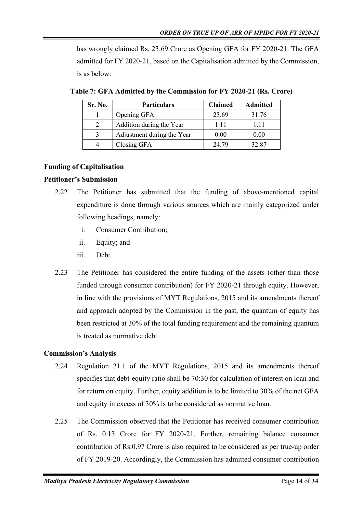has wrongly claimed Rs. 23.69 Crore as Opening GFA for FY 2020-21. The GFA admitted for FY 2020-21, based on the Capitalisation admitted by the Commission, is as below:

| Sr. No. | <b>Particulars</b>         | <b>Claimed</b> | <b>Admitted</b> |
|---------|----------------------------|----------------|-----------------|
|         | Opening GFA                | 23.69          | 31.76           |
|         | Addition during the Year   | 1.11           | 1.11            |
|         | Adjustment during the Year | 0.00           | 0.00            |
|         | Closing GFA                | 24.79          | 32.87           |

<span id="page-13-1"></span>**Table 7: GFA Admitted by the Commission for FY 2020-21 (Rs. Crore)**

## <span id="page-13-0"></span>**Funding of Capitalisation**

## **Petitioner's Submission**

- 2.22 The Petitioner has submitted that the funding of above-mentioned capital expenditure is done through various sources which are mainly categorized under following headings, namely:
	- i. Consumer Contribution;
	- ii. Equity; and
	- iii. Debt.
- 2.23 The Petitioner has considered the entire funding of the assets (other than those funded through consumer contribution) for FY 2020-21 through equity. However, in line with the provisions of MYT Regulations, 2015 and its amendments thereof and approach adopted by the Commission in the past, the quantum of equity has been restricted at 30% of the total funding requirement and the remaining quantum is treated as normative debt.

## **Commission's Analysis**

- 2.24 Regulation 21.1 of the MYT Regulations, 2015 and its amendments thereof specifies that debt-equity ratio shall be 70:30 for calculation of interest on loan and for return on equity. Further, equity addition is to be limited to 30% of the net GFA and equity in excess of 30% is to be considered as normative loan.
- 2.25 The Commission observed that the Petitioner has received consumer contribution of Rs. 0.13 Crore for FY 2020-21. Further, remaining balance consumer contribution of Rs.0.97 Crore is also required to be considered as per true-up order of FY 2019-20. Accordingly, the Commission has admitted consumer contribution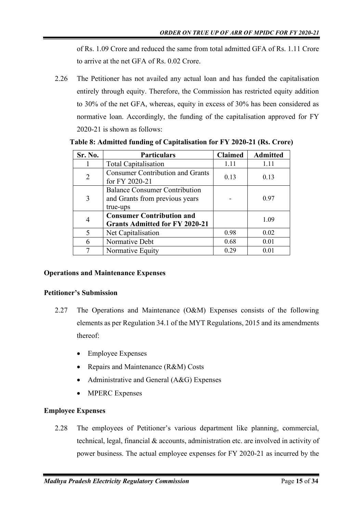of Rs. 1.09 Crore and reduced the same from total admitted GFA of Rs. 1.11 Crore to arrive at the net GFA of Rs. 0.02 Crore.

2.26 The Petitioner has not availed any actual loan and has funded the capitalisation entirely through equity. Therefore, the Commission has restricted equity addition to 30% of the net GFA, whereas, equity in excess of 30% has been considered as normative loan. Accordingly, the funding of the capitalisation approved for FY 2020-21 is shown as follows:

| Sr. No.                  | <b>Particulars</b>                                                                 | <b>Claimed</b> | <b>Admitted</b> |
|--------------------------|------------------------------------------------------------------------------------|----------------|-----------------|
|                          | <b>Total Capitalisation</b>                                                        | 1.11           | 1.11            |
| $\overline{2}$           | <b>Consumer Contribution and Grants</b><br>for FY 2020-21                          | 0.13           | 0.13            |
| 3                        | <b>Balance Consumer Contribution</b><br>and Grants from previous years<br>true-ups |                | 0.97            |
| $\overline{4}$           | <b>Consumer Contribution and</b><br><b>Grants Admitted for FY 2020-21</b>          |                | 1.09            |
| $\overline{\mathcal{L}}$ | Net Capitalisation                                                                 | 0.98           | 0.02            |
| 6                        | Normative Debt                                                                     | 0.68           | 0.01            |
|                          | Normative Equity                                                                   | 0.29           | 0.01            |

<span id="page-14-1"></span>**Table 8: Admitted funding of Capitalisation for FY 2020-21 (Rs. Crore)**

## <span id="page-14-0"></span>**Operations and Maintenance Expenses**

## **Petitioner's Submission**

- 2.27 The Operations and Maintenance (O&M) Expenses consists of the following elements as per Regulation 34.1 of the MYT Regulations, 2015 and its amendments thereof:
	- Employee Expenses
	- Repairs and Maintenance (R&M) Costs
	- Administrative and General (A&G) Expenses
	- **MPERC Expenses**

## **Employee Expenses**

2.28 The employees of Petitioner's various department like planning, commercial, technical, legal, financial & accounts, administration etc. are involved in activity of power business. The actual employee expenses for FY 2020-21 as incurred by the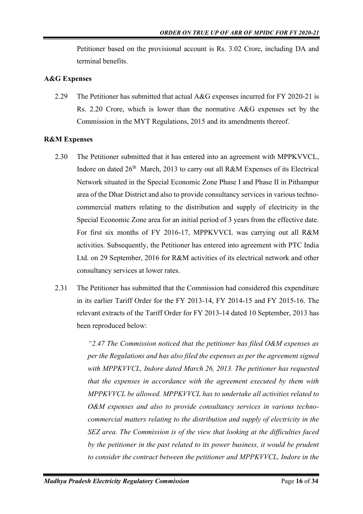Petitioner based on the provisional account is Rs. 3.02 Crore, including DA and terminal benefits.

#### **A&G Expenses**

2.29 The Petitioner has submitted that actual A&G expenses incurred for FY 2020-21 is Rs. 2.20 Crore, which is lower than the normative A&G expenses set by the Commission in the MYT Regulations, 2015 and its amendments thereof.

#### **R&M Expenses**

- 2.30 The Petitioner submitted that it has entered into an agreement with MPPKVVCL, Indore on dated 26<sup>th</sup> March, 2013 to carry out all R&M Expenses of its Electrical Network situated in the Special Economic Zone Phase I and Phase II in Pithampur area of the Dhar District and also to provide consultancy services in various technocommercial matters relating to the distribution and supply of electricity in the Special Economic Zone area for an initial period of 3 years from the effective date. For first six months of FY 2016-17, MPPKVVCL was carrying out all R&M activities. Subsequently, the Petitioner has entered into agreement with PTC India Ltd. on 29 September, 2016 for R&M activities of its electrical network and other consultancy services at lower rates.
- 2.31 The Petitioner has submitted that the Commission had considered this expenditure in its earlier Tariff Order for the FY 2013-14, FY 2014-15 and FY 2015-16. The relevant extracts of the Tariff Order for FY 2013-14 dated 10 September, 2013 has been reproduced below:

*"2.47 The Commission noticed that the petitioner has filed O&M expenses as per the Regulations and has also filed the expenses as per the agreement signed with MPPKVVCL, Indore dated March 26, 2013. The petitioner has requested that the expenses in accordance with the agreement executed by them with MPPKVVCL be allowed. MPPKVVCL has to undertake all activities related to O&M expenses and also to provide consultancy services in various technocommercial matters relating to the distribution and supply of electricity in the SEZ area. The Commission is of the view that looking at the difficulties faced by the petitioner in the past related to its power business, it would be prudent to consider the contract between the petitioner and MPPKVVCL, Indore in the*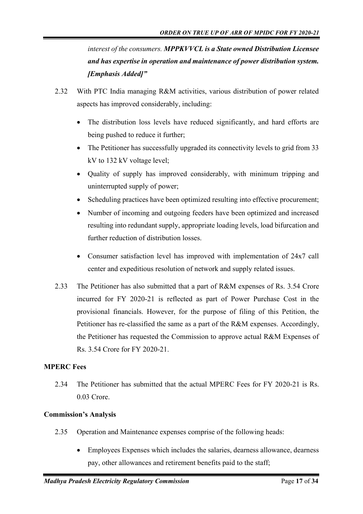*interest of the consumers. MPPKVVCL is a State owned Distribution Licensee and has expertise in operation and maintenance of power distribution system. [Emphasis Added]"*

- 2.32 With PTC India managing R&M activities, various distribution of power related aspects has improved considerably, including:
	- The distribution loss levels have reduced significantly, and hard efforts are being pushed to reduce it further;
	- The Petitioner has successfully upgraded its connectivity levels to grid from 33 kV to 132 kV voltage level;
	- Quality of supply has improved considerably, with minimum tripping and uninterrupted supply of power;
	- Scheduling practices have been optimized resulting into effective procurement;
	- Number of incoming and outgoing feeders have been optimized and increased resulting into redundant supply, appropriate loading levels, load bifurcation and further reduction of distribution losses.
	- Consumer satisfaction level has improved with implementation of 24x7 call center and expeditious resolution of network and supply related issues.
- 2.33 The Petitioner has also submitted that a part of R&M expenses of Rs. 3.54 Crore incurred for FY 2020-21 is reflected as part of Power Purchase Cost in the provisional financials. However, for the purpose of filing of this Petition, the Petitioner has re-classified the same as a part of the R&M expenses. Accordingly, the Petitioner has requested the Commission to approve actual R&M Expenses of Rs. 3.54 Crore for FY 2020-21.

#### **MPERC Fees**

2.34 The Petitioner has submitted that the actual MPERC Fees for FY 2020-21 is Rs. 0.03 Crore.

#### **Commission's Analysis**

- 2.35 Operation and Maintenance expenses comprise of the following heads:
	- Employees Expenses which includes the salaries, dearness allowance, dearness pay, other allowances and retirement benefits paid to the staff;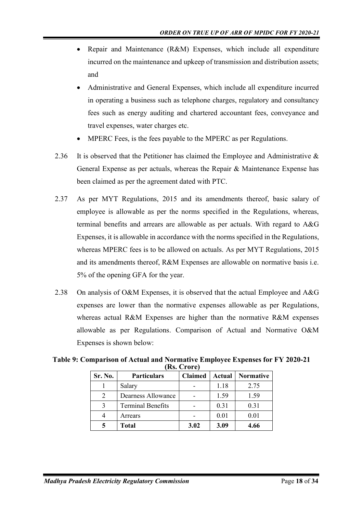- Repair and Maintenance (R&M) Expenses, which include all expenditure incurred on the maintenance and upkeep of transmission and distribution assets; and
- Administrative and General Expenses, which include all expenditure incurred in operating a business such as telephone charges, regulatory and consultancy fees such as energy auditing and chartered accountant fees, conveyance and travel expenses, water charges etc.
- MPERC Fees, is the fees payable to the MPERC as per Regulations.
- 2.36 It is observed that the Petitioner has claimed the Employee and Administrative & General Expense as per actuals, whereas the Repair & Maintenance Expense has been claimed as per the agreement dated with PTC.
- 2.37 As per MYT Regulations, 2015 and its amendments thereof, basic salary of employee is allowable as per the norms specified in the Regulations, whereas, terminal benefits and arrears are allowable as per actuals. With regard to A&G Expenses, it is allowable in accordance with the norms specified in the Regulations, whereas MPERC fees is to be allowed on actuals. As per MYT Regulations, 2015 and its amendments thereof, R&M Expenses are allowable on normative basis i.e. 5% of the opening GFA for the year.
- 2.38 On analysis of O&M Expenses, it is observed that the actual Employee and A&G expenses are lower than the normative expenses allowable as per Regulations, whereas actual R&M Expenses are higher than the normative R&M expenses allowable as per Regulations. Comparison of Actual and Normative O&M Expenses is shown below:

| Sr. No. | <b>Particulars</b>       | <b>Claimed</b> | Actual | <b>Normative</b> |
|---------|--------------------------|----------------|--------|------------------|
|         | Salary                   |                | 1.18   | 2.75             |
|         | Dearness Allowance       |                | 1.59   | 1.59             |
|         | <b>Terminal Benefits</b> |                | 0.31   | 0.31             |
|         | Arrears                  |                | 0.01   | 0.01             |
|         | Total                    | 3.02           | 3.09   | 4.66             |

<span id="page-17-0"></span>**Table 9: Comparison of Actual and Normative Employee Expenses for FY 2020-21 (Rs. Crore)**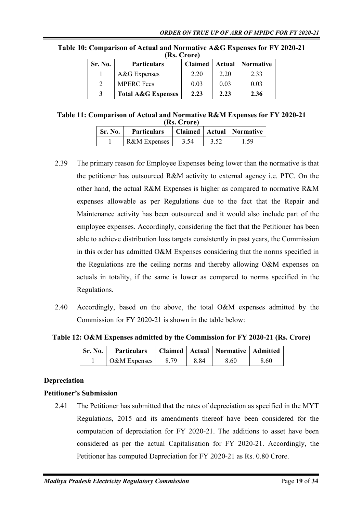| Sr. No. | <b>Particulars</b>            | <b>Claimed</b> |      | <b>Actual</b>   Normative |  |
|---------|-------------------------------|----------------|------|---------------------------|--|
|         | A&G Expenses                  | 2.20           | 2.20 | 2.33                      |  |
|         | <b>MPERC</b> Fees             | 0.03           | 0.03 | 0.03                      |  |
|         | <b>Total A&amp;G Expenses</b> | 2.23           | 2.23 | 2.36                      |  |

<span id="page-18-1"></span>**Table 10: Comparison of Actual and Normative A&G Expenses for FY 2020-21 (Rs. Crore)**

<span id="page-18-2"></span>**Table 11: Comparison of Actual and Normative R&M Expenses for FY 2020-21 (Rs. Crore)**

| Sr. No. | <b>Particulars</b> |      |      | Claimed   Actual   Normative |
|---------|--------------------|------|------|------------------------------|
|         | R&M Expenses       | 3.54 | 3.52 | 1.59                         |

- 2.39 The primary reason for Employee Expenses being lower than the normative is that the petitioner has outsourced R&M activity to external agency i.e. PTC. On the other hand, the actual R&M Expenses is higher as compared to normative R&M expenses allowable as per Regulations due to the fact that the Repair and Maintenance activity has been outsourced and it would also include part of the employee expenses. Accordingly, considering the fact that the Petitioner has been able to achieve distribution loss targets consistently in past years, the Commission in this order has admitted O&M Expenses considering that the norms specified in the Regulations are the ceiling norms and thereby allowing O&M expenses on actuals in totality, if the same is lower as compared to norms specified in the Regulations.
- 2.40 Accordingly, based on the above, the total O&M expenses admitted by the Commission for FY 2020-21 is shown in the table below:

<span id="page-18-3"></span>**Table 12: O&M Expenses admitted by the Commission for FY 2020-21 (Rs. Crore)**

| <b>Sr. No. 1</b> | <b>Particulars</b> |      |      | Claimed   Actual   Normative   Admitted |      |
|------------------|--------------------|------|------|-----------------------------------------|------|
|                  | $O&M$ Expenses     | 8.79 | 8.84 | 8.60                                    | 8.60 |

## <span id="page-18-0"></span>**Depreciation**

## **Petitioner's Submission**

2.41 The Petitioner has submitted that the rates of depreciation as specified in the MYT Regulations, 2015 and its amendments thereof have been considered for the computation of depreciation for FY 2020-21. The additions to asset have been considered as per the actual Capitalisation for FY 2020-21. Accordingly, the Petitioner has computed Depreciation for FY 2020-21 as Rs. 0.80 Crore.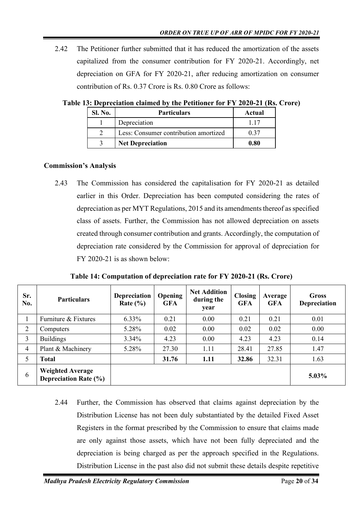2.42 The Petitioner further submitted that it has reduced the amortization of the assets capitalized from the consumer contribution for FY 2020-21. Accordingly, net depreciation on GFA for FY 2020-21, after reducing amortization on consumer contribution of Rs. 0.37 Crore is Rs. 0.80 Crore as follows:

| Sl. No. | <b>Particulars</b>                    | Actual |
|---------|---------------------------------------|--------|
|         | Depreciation                          |        |
|         | Less: Consumer contribution amortized | 0.37   |
|         | <b>Net Depreciation</b>               | 0.80   |

<span id="page-19-0"></span>**Table 13: Depreciation claimed by the Petitioner for FY 2020-21 (Rs. Crore)**

### **Commission's Analysis**

2.43 The Commission has considered the capitalisation for FY 2020-21 as detailed earlier in this Order. Depreciation has been computed considering the rates of depreciation as per MYT Regulations, 2015 and its amendments thereof as specified class of assets. Further, the Commission has not allowed depreciation on assets created through consumer contribution and grants. Accordingly, the computation of depreciation rate considered by the Commission for approval of depreciation for FY 2020-21 is as shown below:

| Sr.<br>No.     | <b>Particulars</b>                                      | <b>Depreciation</b><br>Rate $(\% )$ | Opening<br><b>GFA</b> | <b>Net Addition</b><br>during the<br>year | <b>Closing</b><br><b>GFA</b> | Average<br><b>GFA</b> | Gross<br>Depreciation |
|----------------|---------------------------------------------------------|-------------------------------------|-----------------------|-------------------------------------------|------------------------------|-----------------------|-----------------------|
|                | Furniture & Fixtures                                    | $6.33\%$                            | 0.21                  | 0.00                                      | 0.21                         | 0.21                  | 0.01                  |
| 2              | Computers                                               | 5.28%                               | 0.02                  | 0.00                                      | 0.02                         | 0.02                  | 0.00                  |
| 3              | <b>Buildings</b>                                        | $3.34\%$                            | 4.23                  | 0.00                                      | 4.23                         | 4.23                  | 0.14                  |
| $\overline{4}$ | Plant & Machinery                                       | 5.28%                               | 27.30                 | 1.11                                      | 28.41                        | 27.85                 | 1.47                  |
| 5              | <b>Total</b>                                            |                                     | 31.76                 | 1.11                                      | 32.86                        | 32.31                 | 1.63                  |
| 6              | <b>Weighted Average</b><br><b>Depreciation Rate (%)</b> |                                     |                       |                                           |                              |                       | $5.03\%$              |

<span id="page-19-1"></span>**Table 14: Computation of depreciation rate for FY 2020-21 (Rs. Crore)**

2.44 Further, the Commission has observed that claims against depreciation by the Distribution License has not been duly substantiated by the detailed Fixed Asset Registers in the format prescribed by the Commission to ensure that claims made are only against those assets, which have not been fully depreciated and the depreciation is being charged as per the approach specified in the Regulations. Distribution License in the past also did not submit these details despite repetitive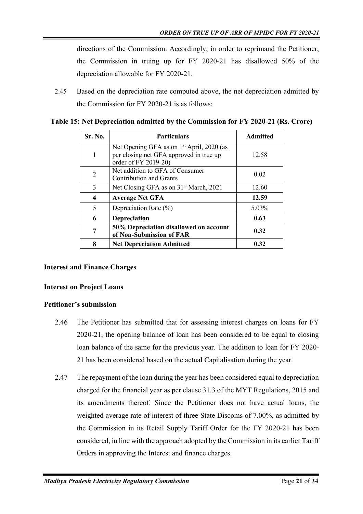directions of the Commission. Accordingly, in order to reprimand the Petitioner, the Commission in truing up for FY 2020-21 has disallowed 50% of the depreciation allowable for FY 2020-21.

2.45 Based on the depreciation rate computed above, the net depreciation admitted by the Commission for FY 2020-21 is as follows:

| Sr. No.        | <b>Particulars</b>                                                                                                       | <b>Admitted</b> |
|----------------|--------------------------------------------------------------------------------------------------------------------------|-----------------|
|                | Net Opening GFA as on 1 <sup>st</sup> April, 2020 (as<br>per closing net GFA approved in true up<br>order of FY 2019-20) | 12.58           |
| $\overline{2}$ | Net addition to GFA of Consumer<br><b>Contribution and Grants</b>                                                        | 0.02            |
| 3              | Net Closing GFA as on 31 <sup>st</sup> March, 2021                                                                       | 12.60           |
| 4              | <b>Average Net GFA</b>                                                                                                   | 12.59           |
| 5              | Depreciation Rate $(\%)$                                                                                                 | 5.03%           |
| 6              | <b>Depreciation</b>                                                                                                      | 0.63            |
| 7              | 50% Depreciation disallowed on account<br>of Non-Submission of FAR                                                       | 0.32            |
| 8              | <b>Net Depreciation Admitted</b>                                                                                         | 0.32            |

<span id="page-20-1"></span>**Table 15: Net Depreciation admitted by the Commission for FY 2020-21 (Rs. Crore)**

## <span id="page-20-0"></span>**Interest and Finance Charges**

## **Interest on Project Loans**

## **Petitioner's submission**

- 2.46 The Petitioner has submitted that for assessing interest charges on loans for FY 2020-21, the opening balance of loan has been considered to be equal to closing loan balance of the same for the previous year. The addition to loan for FY 2020- 21 has been considered based on the actual Capitalisation during the year.
- 2.47 The repayment of the loan during the year has been considered equal to depreciation charged for the financial year as per clause 31.3 of the MYT Regulations, 2015 and its amendments thereof. Since the Petitioner does not have actual loans, the weighted average rate of interest of three State Discoms of 7.00%, as admitted by the Commission in its Retail Supply Tariff Order for the FY 2020-21 has been considered, in line with the approach adopted by the Commission in its earlier Tariff Orders in approving the Interest and finance charges.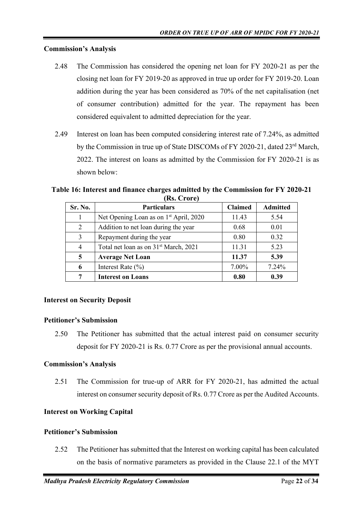#### **Commission's Analysis**

- 2.48 The Commission has considered the opening net loan for FY 2020-21 as per the closing net loan for FY 2019-20 as approved in true up order for FY 2019-20. Loan addition during the year has been considered as 70% of the net capitalisation (net of consumer contribution) admitted for the year. The repayment has been considered equivalent to admitted depreciation for the year.
- 2.49 Interest on loan has been computed considering interest rate of 7.24%, as admitted by the Commission in true up of State DISCOMs of FY 2020-21, dated 23<sup>rd</sup> March, 2022. The interest on loans as admitted by the Commission for FY 2020-21 is as shown below:

<span id="page-21-2"></span>**Table 16: Interest and finance charges admitted by the Commission for FY 2020-21 (Rs. Crore)**

| Sr. No. | <b>Particulars</b>                                 | <b>Claimed</b> | <b>Admitted</b> |
|---------|----------------------------------------------------|----------------|-----------------|
|         | Net Opening Loan as on 1 <sup>st</sup> April, 2020 | 11.43          | 5.54            |
| 2       | Addition to net loan during the year               | 0.68           | 0.01            |
| 3       | Repayment during the year                          | 0.80           | 0.32            |
| 4       | Total net loan as on 31 <sup>st</sup> March, 2021  | 11.31          | 5.23            |
| 5       | <b>Average Net Loan</b>                            | 11.37          | 5.39            |
| 6       | Interest Rate $(\% )$                              | 7.00%          | 7.24%           |
| 7       | <b>Interest on Loans</b>                           | 0.80           | 0.39            |

#### <span id="page-21-0"></span>**Interest on Security Deposit**

#### **Petitioner's Submission**

2.50 The Petitioner has submitted that the actual interest paid on consumer security deposit for FY 2020-21 is Rs. 0.77 Crore as per the provisional annual accounts.

#### **Commission's Analysis**

2.51 The Commission for true-up of ARR for FY 2020-21, has admitted the actual interest on consumer security deposit of Rs. 0.77 Crore as per the Audited Accounts.

#### <span id="page-21-1"></span>**Interest on Working Capital**

#### **Petitioner's Submission**

2.52 The Petitioner has submitted that the Interest on working capital has been calculated on the basis of normative parameters as provided in the Clause 22.1 of the MYT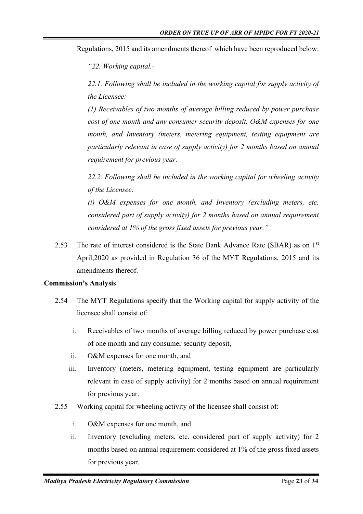Regulations, 2015 and its amendments thereof which have been reproduced below:

*"22. Working capital.-*

*22.1. Following shall be included in the working capital for supply activity of the Licensee:*

*(1) Receivables of two months of average billing reduced by power purchase cost of one month and any consumer security deposit, O&M expenses for one month, and Inventory (meters, metering equipment, testing equipment are particularly relevant in case of supply activity) for 2 months based on annual requirement for previous year.*

*22.2. Following shall be included in the working capital for wheeling activity of the Licensee:*

*(i) O&M expenses for one month, and Inventory (excluding meters, etc. considered part of supply activity) for 2 months based on annual requirement considered at 1% of the gross fixed assets for previous year."*

2.53 The rate of interest considered is the State Bank Advance Rate (SBAR) as on  $1<sup>st</sup>$ April,2020 as provided in Regulation 36 of the MYT Regulations, 2015 and its amendments thereof.

#### **Commission's Analysis**

- 2.54 The MYT Regulations specify that the Working capital for supply activity of the licensee shall consist of:
	- i. Receivables of two months of average billing reduced by power purchase cost of one month and any consumer security deposit,
	- ii. O&M expenses for one month, and
	- iii. Inventory (meters, metering equipment, testing equipment are particularly relevant in case of supply activity) for 2 months based on annual requirement for previous year.
- 2.55 Working capital for wheeling activity of the licensee shall consist of:
	- i. O&M expenses for one month, and
	- ii. Inventory (excluding meters, etc. considered part of supply activity) for 2 months based on annual requirement considered at 1% of the gross fixed assets for previous year.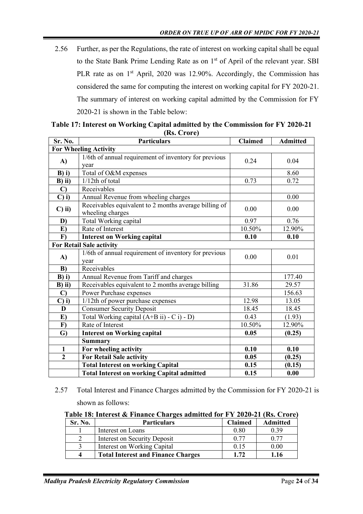2.56 Further, as per the Regulations, the rate of interest on working capital shall be equal to the State Bank Prime Lending Rate as on 1<sup>st</sup> of April of the relevant year. SBI PLR rate as on  $1<sup>st</sup>$  April, 2020 was 12.90%. Accordingly, the Commission has considered the same for computing the interest on working capital for FY 2020-21. The summary of interest on working capital admitted by the Commission for FY 2020-21 is shown in the Table below:

| Sr. No.           | $(1000 \text{ C} \cdot 0)$<br><b>Particulars</b>                          | <b>Claimed</b> | <b>Admitted</b> |  |  |  |
|-------------------|---------------------------------------------------------------------------|----------------|-----------------|--|--|--|
|                   | <b>For Wheeling Activity</b>                                              |                |                 |  |  |  |
| A)                | 1/6th of annual requirement of inventory for previous<br>year             | 0.24           | 0.04            |  |  |  |
| $B$ ) i)          | Total of O&M expenses                                                     |                | 8.60            |  |  |  |
| $B)$ ii)          | $1/12$ th of total                                                        | 0.73           | 0.72            |  |  |  |
| $\mathbf{C}$      | Receivables                                                               |                |                 |  |  |  |
| $C)$ i)           | Annual Revenue from wheeling charges                                      |                | 0.00            |  |  |  |
| $C)$ ii)          | Receivables equivalent to 2 months average billing of<br>wheeling charges | 0.00           | 0.00            |  |  |  |
| D)                | Total Working capital                                                     | 0.97           | 0.76            |  |  |  |
| E)                | Rate of Interest                                                          | 10.50%         | 12.90%          |  |  |  |
| $\mathbf{F}$      | <b>Interest on Working capital</b>                                        | 0.10           | 0.10            |  |  |  |
|                   | <b>For Retail Sale activity</b>                                           |                |                 |  |  |  |
| A)                | 1/6th of annual requirement of inventory for previous<br>year             | 0.00           | 0.01            |  |  |  |
| B)                | Receivables                                                               |                |                 |  |  |  |
| $B)$ i)           | Annual Revenue from Tariff and charges                                    |                | 177.40          |  |  |  |
| $B)$ ii)          | Receivables equivalent to 2 months average billing                        | 31.86          | 29.57           |  |  |  |
| $\mathbf{C}$      | Power Purchase expenses                                                   |                | 156.63          |  |  |  |
| $\mathbf{C}$ ) i) | 1/12th of power purchase expenses                                         | 12.98          | 13.05           |  |  |  |
| D                 | <b>Consumer Security Deposit</b>                                          | 18.45          | 18.45           |  |  |  |
| E)                | Total Working capital (A+B ii) - C i) - D)                                | 0.43           | (1.93)          |  |  |  |
| $\bf{F}$          | Rate of Interest                                                          | 10.50%         | 12.90%          |  |  |  |
| $\mathbf{G}$      | <b>Interest on Working capital</b>                                        | 0.05           | (0.25)          |  |  |  |
|                   | <b>Summary</b>                                                            |                |                 |  |  |  |
| $\mathbf{1}$      | For wheeling activity                                                     | 0.10           | 0.10            |  |  |  |
| $\mathbf{2}$      | <b>For Retail Sale activity</b>                                           | 0.05           | (0.25)          |  |  |  |
|                   | <b>Total Interest on working Capital</b>                                  | 0.15           | (0.15)          |  |  |  |
|                   | <b>Total Interest on working Capital admitted</b>                         | 0.15           | 0.00            |  |  |  |

<span id="page-23-0"></span>

| Table 17: Interest on Working Capital admitted by the Commission for FY 2020-21 |  |
|---------------------------------------------------------------------------------|--|
| (Rs. Crore)                                                                     |  |

2.57 Total Interest and Finance Charges admitted by the Commission for FY 2020-21 is shown as follows:

<span id="page-23-1"></span>**Table 18: Interest & Finance Charges admitted for FY 2020-21 (Rs. Crore)**

| Sr. No.  | <b>Particulars</b>                        | <b>Claimed</b> | <b>Admitted</b> |
|----------|-------------------------------------------|----------------|-----------------|
|          | Interest on Loans                         | 0.80           | 0.39            |
|          | Interest on Security Deposit              | 0.77           | 0.77            |
|          | Interest on Working Capital               | 0.15           | 0.00            |
| $\Delta$ | <b>Total Interest and Finance Charges</b> | 1.72           | 1.16            |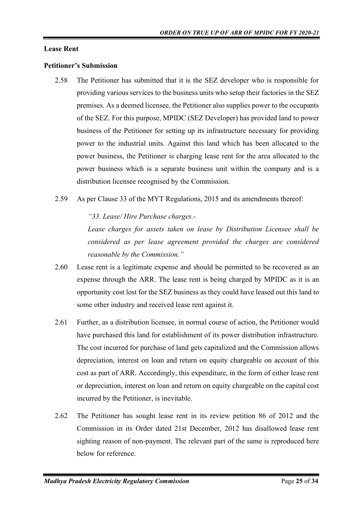#### <span id="page-24-0"></span>**Lease Rent**

#### **Petitioner's Submission**

- 2.58 The Petitioner has submitted that it is the SEZ developer who is responsible for providing various services to the business units who setup their factories in the SEZ premises. As a deemed licensee, the Petitioner also supplies power to the occupants of the SEZ. For this purpose, MPIDC (SEZ Developer) has provided land to power business of the Petitioner for setting up its infrastructure necessary for providing power to the industrial units. Against this land which has been allocated to the power business, the Petitioner is charging lease rent for the area allocated to the power business which is a separate business unit within the company and is a distribution licensee recognised by the Commission.
- 2.59 As per Clause 33 of the MYT Regulations, 2015 and its amendments thereof:

*"33. Lease/ Hire Purchase charges.-*

*Lease charges for assets taken on lease by Distribution Licensee shall be considered as per lease agreement provided the charges are considered reasonable by the Commission."*

- 2.60 Lease rent is a legitimate expense and should be permitted to be recovered as an expense through the ARR. The lease rent is being charged by MPIDC as it is an opportunity cost lost for the SEZ business as they could have leased out this land to some other industry and received lease rent against it.
- 2.61 Further, as a distribution licensee, in normal course of action, the Petitioner would have purchased this land for establishment of its power distribution infrastructure. The cost incurred for purchase of land gets capitalized and the Commission allows depreciation, interest on loan and return on equity chargeable on account of this cost as part of ARR. Accordingly, this expenditure, in the form of either lease rent or depreciation, interest on loan and return on equity chargeable on the capital cost incurred by the Petitioner, is inevitable.
- 2.62 The Petitioner has sought lease rent in its review petition 86 of 2012 and the Commission in its Order dated 21st December, 2012 has disallowed lease rent sighting reason of non-payment. The relevant part of the same is reproduced here below for reference.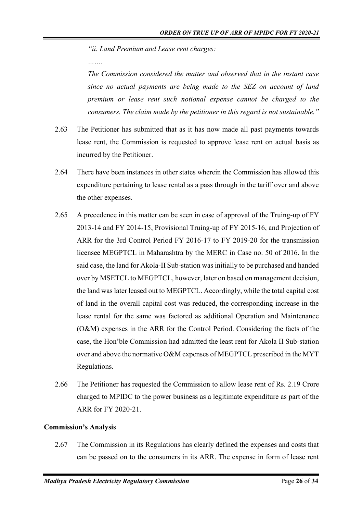*"ii. Land Premium and Lease rent charges:*

*The Commission considered the matter and observed that in the instant case since no actual payments are being made to the SEZ on account of land premium or lease rent such notional expense cannot be charged to the consumers. The claim made by the petitioner in this regard is not sustainable."*

- 2.63 The Petitioner has submitted that as it has now made all past payments towards lease rent, the Commission is requested to approve lease rent on actual basis as incurred by the Petitioner.
- 2.64 There have been instances in other states wherein the Commission has allowed this expenditure pertaining to lease rental as a pass through in the tariff over and above the other expenses.
- 2.65 A precedence in this matter can be seen in case of approval of the Truing-up of FY 2013-14 and FY 2014-15, Provisional Truing-up of FY 2015-16, and Projection of ARR for the 3rd Control Period FY 2016-17 to FY 2019-20 for the transmission licensee MEGPTCL in Maharashtra by the MERC in Case no. 50 of 2016. In the said case, the land for Akola-II Sub-station was initially to be purchased and handed over by MSETCL to MEGPTCL, however, later on based on management decision, the land was later leased out to MEGPTCL. Accordingly, while the total capital cost of land in the overall capital cost was reduced, the corresponding increase in the lease rental for the same was factored as additional Operation and Maintenance (O&M) expenses in the ARR for the Control Period. Considering the facts of the case, the Hon'ble Commission had admitted the least rent for Akola II Sub-station over and above the normative O&M expenses of MEGPTCL prescribed in the MYT Regulations.
- 2.66 The Petitioner has requested the Commission to allow lease rent of Rs. 2.19 Crore charged to MPIDC to the power business as a legitimate expenditure as part of the ARR for FY 2020-21.

## **Commission's Analysis**

2.67 The Commission in its Regulations has clearly defined the expenses and costs that can be passed on to the consumers in its ARR. The expense in form of lease rent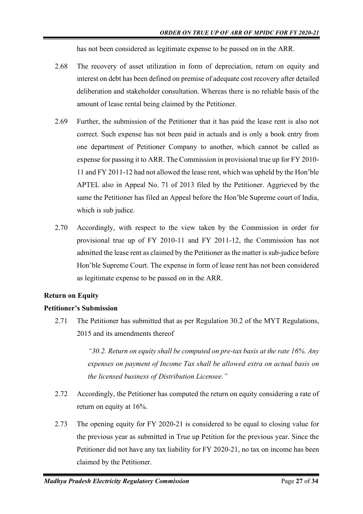has not been considered as legitimate expense to be passed on in the ARR.

- 2.68 The recovery of asset utilization in form of depreciation, return on equity and interest on debt has been defined on premise of adequate cost recovery after detailed deliberation and stakeholder consultation. Whereas there is no reliable basis of the amount of lease rental being claimed by the Petitioner.
- 2.69 Further, the submission of the Petitioner that it has paid the lease rent is also not correct. Such expense has not been paid in actuals and is only a book entry from one department of Petitioner Company to another, which cannot be called as expense for passing it to ARR. The Commission in provisional true up for FY 2010- 11 and FY 2011-12 had not allowed the lease rent, which was upheld by the Hon'ble APTEL also in Appeal No. 71 of 2013 filed by the Petitioner. Aggrieved by the same the Petitioner has filed an Appeal before the Hon'ble Supreme court of India, which is sub judice.
- 2.70 Accordingly, with respect to the view taken by the Commission in order for provisional true up of FY 2010-11 and FY 2011-12, the Commission has not admitted the lease rent as claimed by the Petitioner as the matter is sub-judice before Hon'ble Supreme Court. The expense in form of lease rent has not been considered as legitimate expense to be passed on in the ARR.

## <span id="page-26-0"></span>**Return on Equity**

#### **Petitioner's Submission**

2.71 The Petitioner has submitted that as per Regulation 30.2 of the MYT Regulations, 2015 and its amendments thereof

> *"30.2. Return on equity shall be computed on pre-tax basis at the rate 16%. Any expenses on payment of Income Tax shall be allowed extra on actual basis on the licensed business of Distribution Licensee."*

- 2.72 Accordingly, the Petitioner has computed the return on equity considering a rate of return on equity at 16%.
- 2.73 The opening equity for FY 2020-21 is considered to be equal to closing value for the previous year as submitted in True up Petition for the previous year. Since the Petitioner did not have any tax liability for FY 2020-21, no tax on income has been claimed by the Petitioner.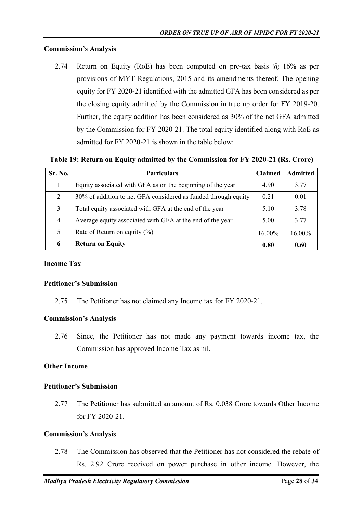#### **Commission's Analysis**

2.74 Return on Equity (RoE) has been computed on pre-tax basis  $\omega$  16% as per provisions of MYT Regulations, 2015 and its amendments thereof. The opening equity for FY 2020-21 identified with the admitted GFA has been considered as per the closing equity admitted by the Commission in true up order for FY 2019-20. Further, the equity addition has been considered as 30% of the net GFA admitted by the Commission for FY 2020-21. The total equity identified along with RoE as admitted for FY 2020-21 is shown in the table below:

<span id="page-27-2"></span>**Table 19: Return on Equity admitted by the Commission for FY 2020-21 (Rs. Crore)**

| <b>Sr. No.</b>              | <b>Particulars</b>                                             | <b>Claimed</b> | <b>Admitted</b> |
|-----------------------------|----------------------------------------------------------------|----------------|-----------------|
|                             | Equity associated with GFA as on the beginning of the year     | 4.90           | 3.77            |
| $\mathcal{D}_{\mathcal{L}}$ | 30% of addition to net GFA considered as funded through equity | 0.21           | 0.01            |
| 3                           | Total equity associated with GFA at the end of the year        | 5.10           | 3.78            |
| $\overline{4}$              | Average equity associated with GFA at the end of the year      | 5.00           | 3.77            |
|                             | Rate of Return on equity $(\%)$                                | 16.00%         | 16.00%          |
| 6                           | <b>Return on Equity</b>                                        | 0.80           | 0.60            |

### <span id="page-27-0"></span>**Income Tax**

#### **Petitioner's Submission**

2.75 The Petitioner has not claimed any Income tax for FY 2020-21.

#### **Commission's Analysis**

2.76 Since, the Petitioner has not made any payment towards income tax, the Commission has approved Income Tax as nil.

#### <span id="page-27-1"></span>**Other Income**

#### **Petitioner's Submission**

2.77 The Petitioner has submitted an amount of Rs. 0.038 Crore towards Other Income for FY 2020-21.

#### **Commission's Analysis**

2.78 The Commission has observed that the Petitioner has not considered the rebate of Rs. 2.92 Crore received on power purchase in other income. However, the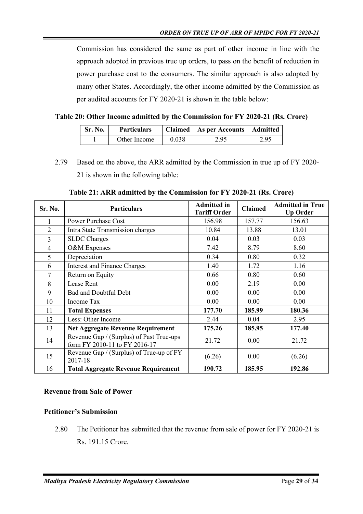Commission has considered the same as part of other income in line with the approach adopted in previous true up orders, to pass on the benefit of reduction in power purchase cost to the consumers. The similar approach is also adopted by many other States. Accordingly, the other income admitted by the Commission as per audited accounts for FY 2020-21 is shown in the table below:

<span id="page-28-1"></span>

|  |  | Table 20: Other Income admitted by the Commission for FY 2020-21 (Rs. Crore) |  |  |  |
|--|--|------------------------------------------------------------------------------|--|--|--|
|  |  |                                                                              |  |  |  |

| Sr. No. | <b>Particulars</b> |       | Claimed   As per Accounts   Admitted |      |
|---------|--------------------|-------|--------------------------------------|------|
|         | Other Income       | 0.038 | 2.95                                 | 2.95 |

2.79 Based on the above, the ARR admitted by the Commission in true up of FY 2020- 21 is shown in the following table:

<span id="page-28-2"></span>

| Sr. No.        | <b>Particulars</b>                                                        | <b>Admitted in</b><br><b>Tariff Order</b> | <b>Claimed</b> | <b>Admitted in True</b><br><b>Up Order</b> |
|----------------|---------------------------------------------------------------------------|-------------------------------------------|----------------|--------------------------------------------|
|                | <b>Power Purchase Cost</b>                                                | 156.98                                    | 157.77         | 156.63                                     |
| $\overline{2}$ | Intra State Transmission charges                                          | 10.84                                     | 13.88          | 13.01                                      |
| 3              | <b>SLDC</b> Charges                                                       | 0.04                                      | 0.03           | 0.03                                       |
| $\overline{4}$ | O&M Expenses                                                              | 7.42                                      | 8.79           | 8.60                                       |
| 5              | Depreciation                                                              | 0.34                                      | 0.80           | 0.32                                       |
| 6              | <b>Interest and Finance Charges</b>                                       | 1.40                                      | 1.72           | 1.16                                       |
| 7              | Return on Equity                                                          | 0.66                                      | 0.80           | 0.60                                       |
| 8              | Lease Rent                                                                | 0.00                                      | 2.19           | 0.00                                       |
| 9              | <b>Bad and Doubtful Debt</b>                                              | 0.00                                      | 0.00           | 0.00                                       |
| 10             | Income Tax                                                                | 0.00                                      | 0.00           | 0.00                                       |
| 11             | <b>Total Expenses</b>                                                     | 177.70                                    | 185.99         | 180.36                                     |
| 12             | Less: Other Income                                                        | 2.44                                      | 0.04           | 2.95                                       |
| 13             | <b>Net Aggregate Revenue Requirement</b>                                  | 175.26                                    | 185.95         | 177.40                                     |
| 14             | Revenue Gap / (Surplus) of Past True-ups<br>form FY 2010-11 to FY 2016-17 | 21.72                                     | 0.00           | 21.72                                      |
| 15             | Revenue Gap / (Surplus) of True-up of FY<br>2017-18                       | (6.26)                                    | 0.00           | (6.26)                                     |
| 16             | <b>Total Aggregate Revenue Requirement</b>                                | 190.72                                    | 185.95         | 192.86                                     |

## **Table 21: ARR admitted by the Commission for FY 2020-21 (Rs. Crore)**

## <span id="page-28-0"></span>**Revenue from Sale of Power**

## **Petitioner's Submission**

2.80 The Petitioner has submitted that the revenue from sale of power for FY 2020-21 is Rs. 191.15 Crore.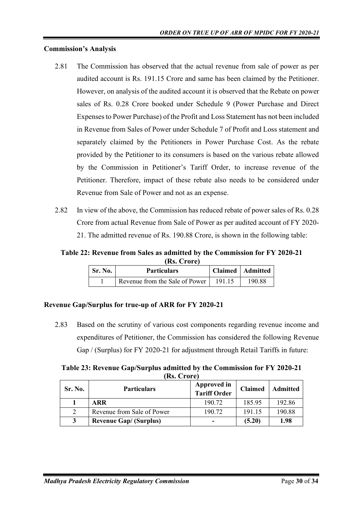### **Commission's Analysis**

- 2.81 The Commission has observed that the actual revenue from sale of power as per audited account is Rs. 191.15 Crore and same has been claimed by the Petitioner. However, on analysis of the audited account it is observed that the Rebate on power sales of Rs. 0.28 Crore booked under Schedule 9 (Power Purchase and Direct Expenses to Power Purchase) of the Profit and Loss Statement has not been included in Revenue from Sales of Power under Schedule 7 of Profit and Loss statement and separately claimed by the Petitioners in Power Purchase Cost. As the rebate provided by the Petitioner to its consumers is based on the various rebate allowed by the Commission in Petitioner's Tariff Order, to increase revenue of the Petitioner. Therefore, impact of these rebate also needs to be considered under Revenue from Sale of Power and not as an expense.
- 2.82 In view of the above, the Commission has reduced rebate of power sales of Rs. 0.28 Crore from actual Revenue from Sale of Power as per audited account of FY 2020- 21. The admitted revenue of Rs. 190.88 Crore, is shown in the following table:

<span id="page-29-1"></span>**Table 22: Revenue from Sales as admitted by the Commission for FY 2020-21 (Rs. Crore)**

| Sr. No. | <b>Particulars</b>             |        | Claimed   Admitted |
|---------|--------------------------------|--------|--------------------|
|         | Revenue from the Sale of Power | 191.15 | 190.88             |

#### <span id="page-29-0"></span>**Revenue Gap/Surplus for true-up of ARR for FY 2020-21**

2.83 Based on the scrutiny of various cost components regarding revenue income and expenditures of Petitioner, the Commission has considered the following Revenue Gap / (Surplus) for FY 2020-21 for adjustment through Retail Tariffs in future:

<span id="page-29-2"></span>**Table 23: Revenue Gap/Surplus admitted by the Commission for FY 2020-21 (Rs. Crore)**

| Sr. No. | <b>Particulars</b>            | Approved in<br><b>Tariff Order</b> | <b>Claimed</b> | <b>Admitted</b> |
|---------|-------------------------------|------------------------------------|----------------|-----------------|
|         | <b>ARR</b>                    | 190.72                             | 185.95         | 192.86          |
|         | Revenue from Sale of Power    | 190.72                             | 191.15         | 190.88          |
| 3       | <b>Revenue Gap/ (Surplus)</b> | -                                  | (5.20)         | 1.98            |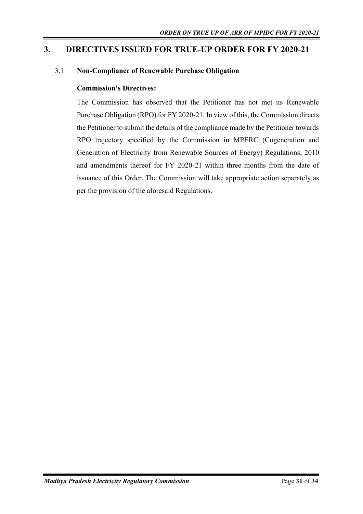## <span id="page-30-0"></span>**3. DIRECTIVES ISSUED FOR TRUE-UP ORDER FOR FY 2020-21**

### 3.1 **Non-Compliance of Renewable Purchase Obligation**

### **Commission's Directives:**

The Commission has observed that the Petitioner has not met its Renewable Purchase Obligation (RPO) for FY 2020-21. In view of this, the Commission directs the Petitioner to submit the details of the compliance made by the Petitioner towards RPO trajectory specified by the Commission in MPERC (Cogeneration and Generation of Electricity from Renewable Sources of Energy) Regulations, 2010 and amendments thereof for FY 2020-21 within three months from the date of issuance of this Order. The Commission will take appropriate action separately as per the provision of the aforesaid Regulations.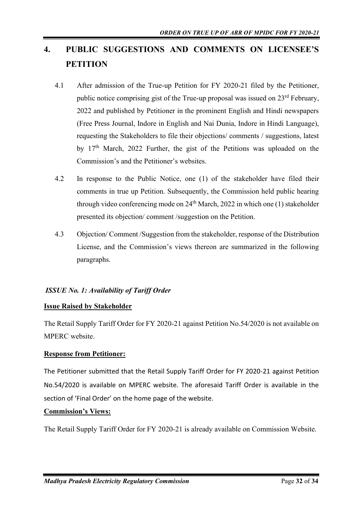# <span id="page-31-0"></span>**4. PUBLIC SUGGESTIONS AND COMMENTS ON LICENSEE'S PETITION**

- 4.1 After admission of the True-up Petition for FY 2020-21 filed by the Petitioner, public notice comprising gist of the True-up proposal was issued on 23<sup>rd</sup> February, 2022 and published by Petitioner in the prominent English and Hindi newspapers (Free Press Journal, Indore in English and Nai Dunia, Indore in Hindi Language), requesting the Stakeholders to file their objections/ comments / suggestions, latest by 17th March, 2022 Further, the gist of the Petitions was uploaded on the Commission's and the Petitioner's websites.
- 4.2 In response to the Public Notice, one (1) of the stakeholder have filed their comments in true up Petition. Subsequently, the Commission held public hearing through video conferencing mode on  $24<sup>th</sup> March, 2022$  in which one (1) stakeholder presented its objection/ comment /suggestion on the Petition.
- 4.3 Objection/ Comment /Suggestion from the stakeholder, response of the Distribution License, and the Commission's views thereon are summarized in the following paragraphs.

## *ISSUE No. 1: Availability of Tariff Order*

## **Issue Raised by Stakeholder**

The Retail Supply Tariff Order for FY 2020-21 against Petition No.54/2020 is not available on MPERC website.

## **Response from Petitioner:**

The Petitioner submitted that the Retail Supply Tariff Order for FY 2020-21 against Petition No.54/2020 is available on MPERC website. The aforesaid Tariff Order is available in the section of 'Final Order' on the home page of the website.

## **Commission's Views:**

The Retail Supply Tariff Order for FY 2020-21 is already available on Commission Website.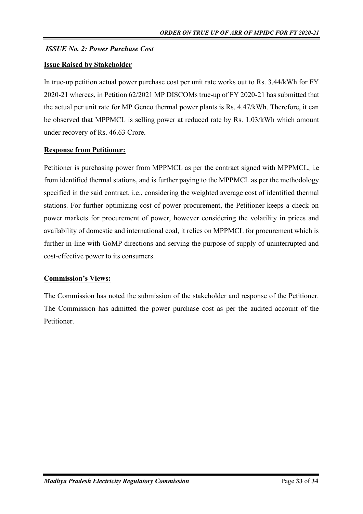## *ISSUE No. 2: Power Purchase Cost*

#### **Issue Raised by Stakeholder**

In true-up petition actual power purchase cost per unit rate works out to Rs. 3.44/kWh for FY 2020-21 whereas, in Petition 62/2021 MP DISCOMs true-up of FY 2020-21 has submitted that the actual per unit rate for MP Genco thermal power plants is Rs. 4.47/kWh. Therefore, it can be observed that MPPMCL is selling power at reduced rate by Rs. 1.03/kWh which amount under recovery of Rs. 46.63 Crore.

### **Response from Petitioner:**

Petitioner is purchasing power from MPPMCL as per the contract signed with MPPMCL, i.e from identified thermal stations, and is further paying to the MPPMCL as per the methodology specified in the said contract, i.e., considering the weighted average cost of identified thermal stations. For further optimizing cost of power procurement, the Petitioner keeps a check on power markets for procurement of power, however considering the volatility in prices and availability of domestic and international coal, it relies on MPPMCL for procurement which is further in-line with GoMP directions and serving the purpose of supply of uninterrupted and cost-effective power to its consumers.

## **Commission's Views:**

The Commission has noted the submission of the stakeholder and response of the Petitioner. The Commission has admitted the power purchase cost as per the audited account of the Petitioner.